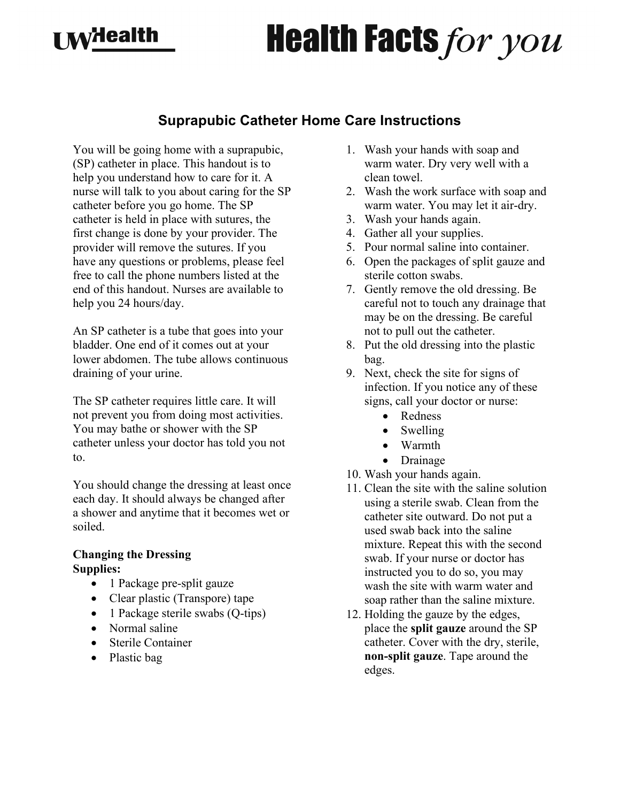## **I M**<sup>H</sup>ealth

# **Health Facts for you**

### **Suprapubic Catheter Home Care Instructions**

You will be going home with a suprapubic, (SP) catheter in place. This handout is to help you understand how to care for it. A nurse will talk to you about caring for the SP catheter before you go home. The SP catheter is held in place with sutures, the first change is done by your provider. The provider will remove the sutures. If you have any questions or problems, please feel free to call the phone numbers listed at the end of this handout. Nurses are available to help you 24 hours/day.

An SP catheter is a tube that goes into your bladder. One end of it comes out at your lower abdomen. The tube allows continuous draining of your urine.

The SP catheter requires little care. It will not prevent you from doing most activities. You may bathe or shower with the SP catheter unless your doctor has told you not to.

You should change the dressing at least once each day. It should always be changed after a shower and anytime that it becomes wet or soiled.

#### **Changing the Dressing Supplies:**

- 1 Package pre-split gauze
- Clear plastic (Transpore) tape
- 1 Package sterile swabs (Q-tips)
- Normal saline
- Sterile Container
- Plastic bag
- 1. Wash your hands with soap and warm water. Dry very well with a clean towel.
- 2. Wash the work surface with soap and warm water. You may let it air-dry.
- 3. Wash your hands again.
- 4. Gather all your supplies.
- 5. Pour normal saline into container.
- 6. Open the packages of split gauze and sterile cotton swabs.
- 7. Gently remove the old dressing. Be careful not to touch any drainage that may be on the dressing. Be careful not to pull out the catheter.
- 8. Put the old dressing into the plastic bag.
- 9. Next, check the site for signs of infection. If you notice any of these signs, call your doctor or nurse:
	- Redness
	- Swelling
	- Warmth
	- Drainage
- 10. Wash your hands again.
- 11. Clean the site with the saline solution using a sterile swab. Clean from the catheter site outward. Do not put a used swab back into the saline mixture. Repeat this with the second swab. If your nurse or doctor has instructed you to do so, you may wash the site with warm water and soap rather than the saline mixture.
- 12. Holding the gauze by the edges, place the **split gauze** around the SP catheter. Cover with the dry, sterile, **non-split gauze**. Tape around the edges.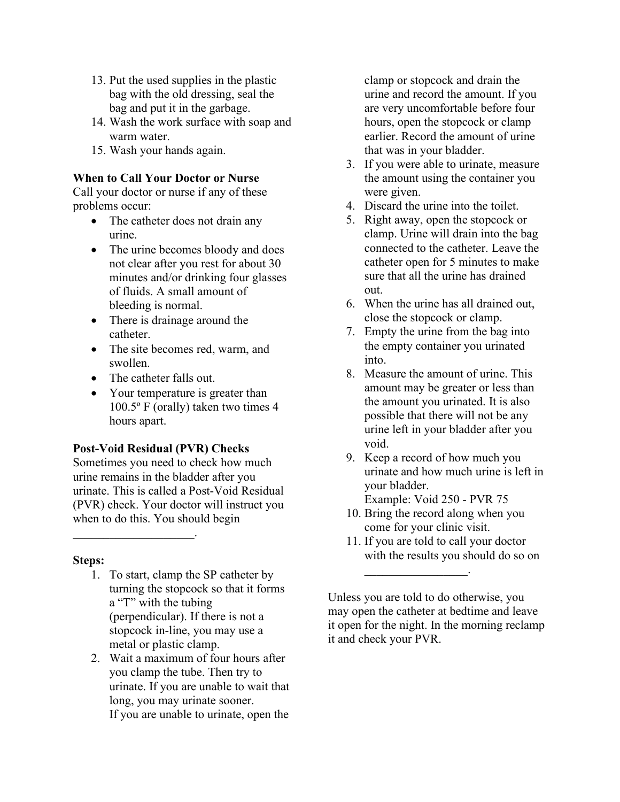- 13. Put the used supplies in the plastic bag with the old dressing, seal the bag and put it in the garbage.
- 14. Wash the work surface with soap and warm water.
- 15. Wash your hands again.

#### **When to Call Your Doctor or Nurse**

Call your doctor or nurse if any of these problems occur:

- The catheter does not drain any urine.
- The urine becomes bloody and does not clear after you rest for about 30 minutes and/or drinking four glasses of fluids. A small amount of bleeding is normal.
- There is drainage around the catheter.
- The site becomes red, warm, and swollen.
- The catheter falls out.
- Your temperature is greater than 100.5º F (orally) taken two times 4 hours apart.

#### **Post-Void Residual (PVR) Checks**

 $\overline{\phantom{a}}$  , where  $\overline{\phantom{a}}$ 

Sometimes you need to check how much urine remains in the bladder after you urinate. This is called a Post-Void Residual (PVR) check. Your doctor will instruct you when to do this. You should begin

#### **Steps:**

- 1. To start, clamp the SP catheter by turning the stopcock so that it forms a "T" with the tubing (perpendicular). If there is not a stopcock in-line, you may use a metal or plastic clamp.
- 2. Wait a maximum of four hours after you clamp the tube. Then try to urinate. If you are unable to wait that long, you may urinate sooner. If you are unable to urinate, open the

clamp or stopcock and drain the urine and record the amount. If you are very uncomfortable before four hours, open the stopcock or clamp earlier. Record the amount of urine that was in your bladder.

- 3. If you were able to urinate, measure the amount using the container you were given.
- 4. Discard the urine into the toilet.
- 5. Right away, open the stopcock or clamp. Urine will drain into the bag connected to the catheter. Leave the catheter open for 5 minutes to make sure that all the urine has drained out.
- 6. When the urine has all drained out, close the stopcock or clamp.
- 7. Empty the urine from the bag into the empty container you urinated into.
- 8. Measure the amount of urine. This amount may be greater or less than the amount you urinated. It is also possible that there will not be any urine left in your bladder after you void.
- 9. Keep a record of how much you urinate and how much urine is left in your bladder. Example: Void 250 - PVR 75
- 10. Bring the record along when you come for your clinic visit.

 $\overline{\phantom{a}}$  . The set of the set of the set of the set of the set of the set of the set of the set of the set of the set of the set of the set of the set of the set of the set of the set of the set of the set of the set o

11. If you are told to call your doctor with the results you should do so on

Unless you are told to do otherwise, you may open the catheter at bedtime and leave it open for the night. In the morning reclamp it and check your PVR.